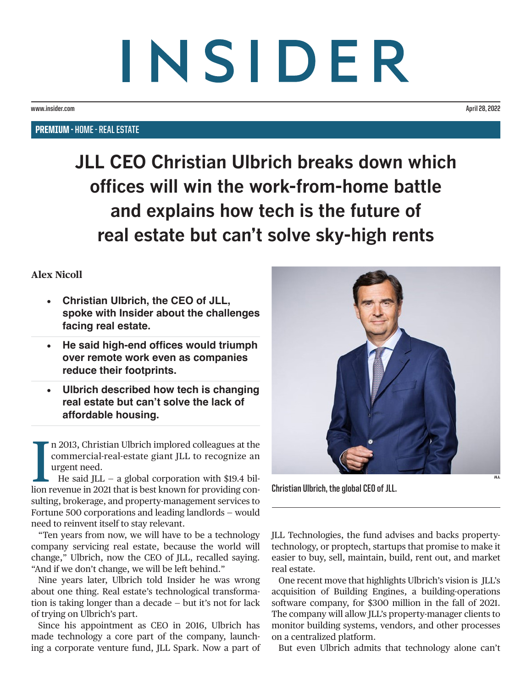## INSIDER

**www.insider.com April 28, 2022**

PREMIUM - **HOME - REAL ESTATE**

**JLL CEO Christian Ulbrich breaks down which offices will win the work-from-home battle and explains how tech is the future of real estate but can't solve sky-high rents**

## **Alex Nicoll**

- **Christian Ulbrich, the CEO of JLL, spoke with Insider about the challenges facing real estate.**
- **He said high-end offices would triumph over remote work even as companies reduce their footprints.**
- **Ulbrich described how tech is changing real estate but can't solve the lack of affordable housing.**

n 2013, Christian Ulbrich implored colleagues at the commercial-real-estate giant JLL to recognize an urgent need.<br>He said JLL – a global corporation with \$19.4 billion revenue in 2021 that is best known for providing conn 2013, Christian Ulbrich implored colleagues at the commercial-real-estate giant JLL to recognize an urgent need.

 $\blacksquare$  He said JLL – a global corporation with \$19.4 bilsulting, brokerage, and property-management services to Fortune 500 corporations and leading landlords — would need to reinvent itself to stay relevant.

"Ten years from now, we will have to be a technology company servicing real estate, because the world will change," Ulbrich, now the CEO of JLL, recalled saying. "And if we don't change, we will be left behind."

Nine years later, Ulbrich told Insider he was wrong about one thing. Real estate's technological transformation is taking longer than a decade — but it's not for lack of trying on Ulbrich's part.

Since his appointment as CEO in 2016, Ulbrich has made technology a core part of the company, launching a corporate venture fund, JLL Spark. Now a part of



**Christian Ulbrich, the global CEO of JLL.**

JLL Technologies, the fund advises and backs propertytechnology, or proptech, startups that promise to make it easier to buy, sell, maintain, build, rent out, and market real estate.

One recent move that highlights Ulbrich's vision is [JLL's](https://www.businessinsider.com/jll-acquires-building-engines-proptech-software-company-2021-10?r=US&IR=T) [acquisition of Building Engines](https://www.businessinsider.com/jll-acquires-building-engines-proptech-software-company-2021-10?r=US&IR=T), a building-operations software company, for \$300 million in the fall of 2021. The company will allow JLL's property-manager clients to monitor building systems, vendors, and other processes on a centralized platform.

But even Ulbrich admits that technology alone can't